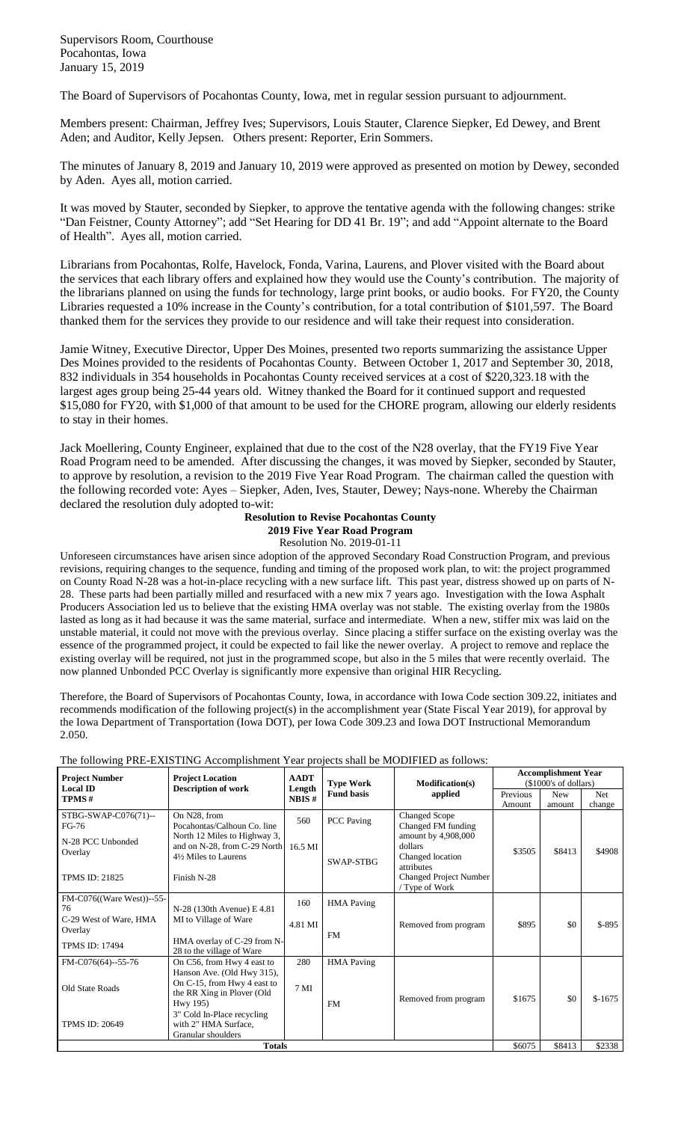Supervisors Room, Courthouse Pocahontas, Iowa January 15, 2019

The Board of Supervisors of Pocahontas County, Iowa, met in regular session pursuant to adjournment.

Members present: Chairman, Jeffrey Ives; Supervisors, Louis Stauter, Clarence Siepker, Ed Dewey, and Brent Aden; and Auditor, Kelly Jepsen. Others present: Reporter, Erin Sommers.

The minutes of January 8, 2019 and January 10, 2019 were approved as presented on motion by Dewey, seconded by Aden. Ayes all, motion carried.

It was moved by Stauter, seconded by Siepker, to approve the tentative agenda with the following changes: strike "Dan Feistner, County Attorney"; add "Set Hearing for DD 41 Br. 19"; and add "Appoint alternate to the Board of Health". Ayes all, motion carried.

Librarians from Pocahontas, Rolfe, Havelock, Fonda, Varina, Laurens, and Plover visited with the Board about the services that each library offers and explained how they would use the County's contribution. The majority of the librarians planned on using the funds for technology, large print books, or audio books. For FY20, the County Libraries requested a 10% increase in the County's contribution, for a total contribution of \$101,597. The Board thanked them for the services they provide to our residence and will take their request into consideration.

Jamie Witney, Executive Director, Upper Des Moines, presented two reports summarizing the assistance Upper Des Moines provided to the residents of Pocahontas County. Between October 1, 2017 and September 30, 2018, 832 individuals in 354 households in Pocahontas County received services at a cost of \$220,323.18 with the largest ages group being 25-44 years old. Witney thanked the Board for it continued support and requested \$15,080 for FY20, with \$1,000 of that amount to be used for the CHORE program, allowing our elderly residents to stay in their homes.

Jack Moellering, County Engineer, explained that due to the cost of the N28 overlay, that the FY19 Five Year Road Program need to be amended. After discussing the changes, it was moved by Siepker, seconded by Stauter, to approve by resolution, a revision to the 2019 Five Year Road Program. The chairman called the question with the following recorded vote: Ayes – Siepker, Aden, Ives, Stauter, Dewey; Nays-none. Whereby the Chairman declared the resolution duly adopted to-wit:

## **Resolution to Revise Pocahontas County**

**2019 Five Year Road Program** Resolution No. 2019-01-11

Unforeseen circumstances have arisen since adoption of the approved Secondary Road Construction Program, and previous revisions, requiring changes to the sequence, funding and timing of the proposed work plan, to wit: the project programmed on County Road N-28 was a hot-in-place recycling with a new surface lift. This past year, distress showed up on parts of N-28. These parts had been partially milled and resurfaced with a new mix 7 years ago. Investigation with the Iowa Asphalt Producers Association led us to believe that the existing HMA overlay was not stable. The existing overlay from the 1980s lasted as long as it had because it was the same material, surface and intermediate. When a new, stiffer mix was laid on the unstable material, it could not move with the previous overlay. Since placing a stiffer surface on the existing overlay was the essence of the programmed project, it could be expected to fail like the newer overlay. A project to remove and replace the existing overlay will be required, not just in the programmed scope, but also in the 5 miles that were recently overlaid. The now planned Unbonded PCC Overlay is significantly more expensive than original HIR Recycling.

Therefore, the Board of Supervisors of Pocahontas County, Iowa, in accordance with Iowa Code section 309.22, initiates and recommends modification of the following project(s) in the accomplishment year (State Fiscal Year 2019), for approval by the Iowa Department of Transportation (Iowa DOT), per Iowa Code 309.23 and Iowa DOT Instructional Memorandum 2.050.

The following PRE-EXISTING Accomplishment Year projects shall be MODIFIED as follows:

| <b>Project Number</b>             | <b>Project Location</b><br><b>Description of work</b>                                               | <b>AADT</b><br>Length<br>NBIS# | <b>Type Work</b><br><b>Fund basis</b> | <b>Modification(s)</b><br>applied                                | <b>Accomplishment Year</b><br>(\$1000's of dollars) |            |            |
|-----------------------------------|-----------------------------------------------------------------------------------------------------|--------------------------------|---------------------------------------|------------------------------------------------------------------|-----------------------------------------------------|------------|------------|
| <b>Local ID</b><br>TPMS#          |                                                                                                     |                                |                                       |                                                                  | Previous                                            | <b>New</b> | <b>Net</b> |
|                                   |                                                                                                     |                                |                                       |                                                                  | Amount                                              | amount     | change     |
| STBG-SWAP-C076(71)--<br>FG-76     | On N28, from<br>Pocahontas/Calhoun Co. line                                                         | 560                            | <b>PCC</b> Paving                     | <b>Changed Scope</b><br>Changed FM funding                       |                                                     |            |            |
| N-28 PCC Unbonded<br>Overlay      | North 12 Miles to Highway 3,<br>and on N-28, from C-29 North<br>4½ Miles to Laurens                 | 16.5 MI                        | SWAP-STBG                             | amount by 4,908,000<br>dollars<br>Changed location<br>attributes | \$3505                                              | \$8413     | \$4908     |
| <b>TPMS ID: 21825</b>             | Finish N-28                                                                                         |                                |                                       | <b>Changed Project Number</b><br>/ Type of Work                  |                                                     |            |            |
| FM-C076((Ware West))--55-<br>76   | N-28 (130th Avenue) E 4.81                                                                          | 160                            | <b>HMA</b> Paving                     |                                                                  |                                                     |            |            |
| C-29 West of Ware, HMA<br>Overlay | MI to Village of Ware                                                                               | 4.81 MI                        | <b>FM</b>                             | Removed from program                                             | \$895                                               | \$0        | $$-895$    |
| <b>TPMS ID: 17494</b>             | HMA overlay of C-29 from N-<br>28 to the village of Ware                                            |                                |                                       |                                                                  |                                                     |            |            |
| FM-C076(64)--55-76                | On C56, from Hwy 4 east to                                                                          | 280                            | <b>HMA</b> Paving                     |                                                                  |                                                     |            |            |
| Old State Roads                   | Hanson Ave. (Old Hwy 315),<br>On C-15, from Hwy 4 east to<br>the RR Xing in Plover (Old<br>Hwy 195) | 7 <sub>MI</sub>                | <b>FM</b>                             | Removed from program                                             | \$1675                                              | \$0        | $$-1675$   |
| <b>TPMS ID: 20649</b>             | 3" Cold In-Place recycling<br>with 2" HMA Surface,<br>Granular shoulders                            |                                |                                       |                                                                  |                                                     |            |            |
| <b>Totals</b>                     |                                                                                                     |                                |                                       |                                                                  |                                                     | \$8413     | \$2338     |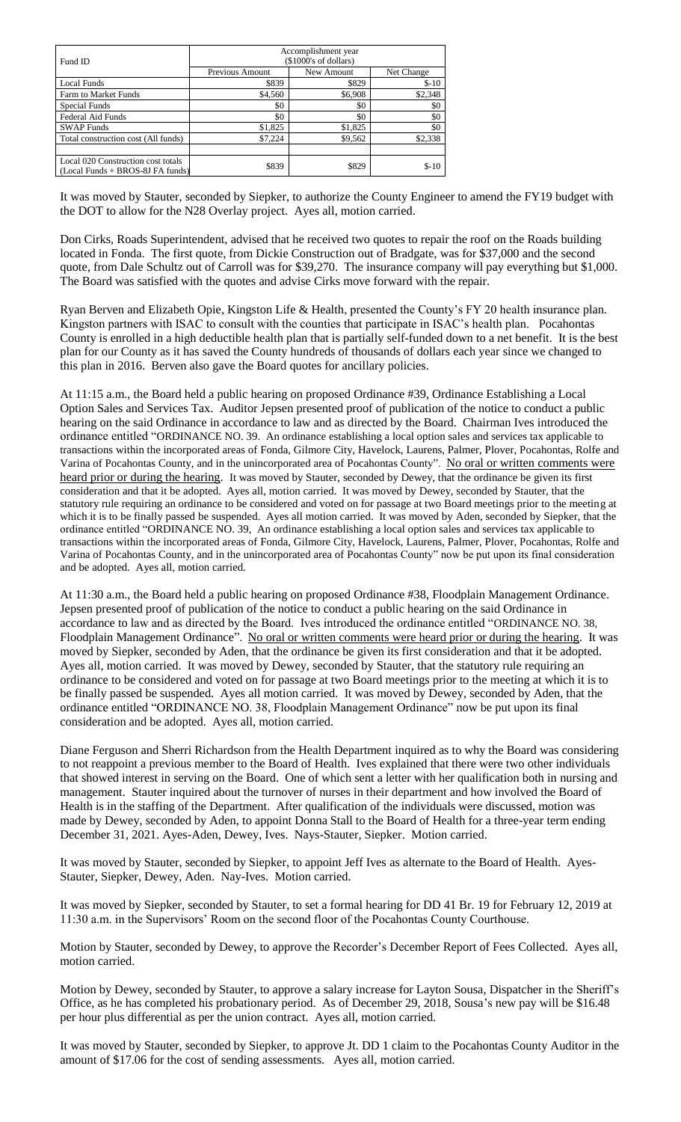| Fund ID                                                                | Accomplishment year<br>(\$1000's of dollars) |            |            |  |  |  |
|------------------------------------------------------------------------|----------------------------------------------|------------|------------|--|--|--|
|                                                                        | Previous Amount                              | New Amount | Net Change |  |  |  |
| Local Funds                                                            | \$839                                        | \$829      | $$ -10$    |  |  |  |
| Farm to Market Funds                                                   | \$4,560                                      | \$6,908    | \$2,348    |  |  |  |
| Special Funds                                                          | \$0                                          | \$0        | \$0        |  |  |  |
| Federal Aid Funds                                                      | \$0                                          | \$0        | \$0        |  |  |  |
| <b>SWAP Funds</b>                                                      | \$1,825                                      | \$1,825    | \$0        |  |  |  |
| Total construction cost (All funds)                                    | \$7,224                                      | \$9,562    | \$2,338    |  |  |  |
|                                                                        |                                              |            |            |  |  |  |
| Local 020 Construction cost totals<br>(Local Funds + BROS-8J FA funds) | \$839                                        | \$829      | $S-10$     |  |  |  |

It was moved by Stauter, seconded by Siepker, to authorize the County Engineer to amend the FY19 budget with the DOT to allow for the N28 Overlay project. Ayes all, motion carried.

Don Cirks, Roads Superintendent, advised that he received two quotes to repair the roof on the Roads building located in Fonda. The first quote, from Dickie Construction out of Bradgate, was for \$37,000 and the second quote, from Dale Schultz out of Carroll was for \$39,270. The insurance company will pay everything but \$1,000. The Board was satisfied with the quotes and advise Cirks move forward with the repair.

Ryan Berven and Elizabeth Opie, Kingston Life & Health, presented the County's FY 20 health insurance plan. Kingston partners with ISAC to consult with the counties that participate in ISAC's health plan. Pocahontas County is enrolled in a high deductible health plan that is partially self-funded down to a net benefit. It is the best plan for our County as it has saved the County hundreds of thousands of dollars each year since we changed to this plan in 2016. Berven also gave the Board quotes for ancillary policies.

At 11:15 a.m., the Board held a public hearing on proposed Ordinance #39, Ordinance Establishing a Local Option Sales and Services Tax. Auditor Jepsen presented proof of publication of the notice to conduct a public hearing on the said Ordinance in accordance to law and as directed by the Board. Chairman Ives introduced the ordinance entitled "ORDINANCE NO. 39.An ordinance establishing a local option sales and services tax applicable to transactions within the incorporated areas of Fonda, Gilmore City, Havelock, Laurens, Palmer, Plover, Pocahontas, Rolfe and Varina of Pocahontas County, and in the unincorporated area of Pocahontas County". No oral or written comments were heard prior or during the hearing. It was moved by Stauter, seconded by Dewey, that the ordinance be given its first consideration and that it be adopted. Ayes all, motion carried. It was moved by Dewey, seconded by Stauter, that the statutory rule requiring an ordinance to be considered and voted on for passage at two Board meetings prior to the meeting at which it is to be finally passed be suspended. Ayes all motion carried. It was moved by Aden, seconded by Siepker, that the ordinance entitled "ORDINANCE NO. 39,An ordinance establishing a local option sales and services tax applicable to transactions within the incorporated areas of Fonda, Gilmore City, Havelock, Laurens, Palmer, Plover, Pocahontas, Rolfe and Varina of Pocahontas County, and in the unincorporated area of Pocahontas County" now be put upon its final consideration and be adopted. Ayes all, motion carried.

At 11:30 a.m., the Board held a public hearing on proposed Ordinance #38, Floodplain Management Ordinance. Jepsen presented proof of publication of the notice to conduct a public hearing on the said Ordinance in accordance to law and as directed by the Board. Ives introduced the ordinance entitled "ORDINANCE NO. 38, Floodplain Management Ordinance".No oral or written comments were heard prior or during the hearing. It was moved by Siepker, seconded by Aden, that the ordinance be given its first consideration and that it be adopted. Ayes all, motion carried. It was moved by Dewey, seconded by Stauter, that the statutory rule requiring an ordinance to be considered and voted on for passage at two Board meetings prior to the meeting at which it is to be finally passed be suspended. Ayes all motion carried. It was moved by Dewey, seconded by Aden, that the ordinance entitled "ORDINANCE NO. 38, Floodplain Management Ordinance" now be put upon its final consideration and be adopted. Ayes all, motion carried.

Diane Ferguson and Sherri Richardson from the Health Department inquired as to why the Board was considering to not reappoint a previous member to the Board of Health. Ives explained that there were two other individuals that showed interest in serving on the Board. One of which sent a letter with her qualification both in nursing and management. Stauter inquired about the turnover of nurses in their department and how involved the Board of Health is in the staffing of the Department. After qualification of the individuals were discussed, motion was made by Dewey, seconded by Aden, to appoint Donna Stall to the Board of Health for a three-year term ending December 31, 2021. Ayes-Aden, Dewey, Ives. Nays-Stauter, Siepker. Motion carried.

It was moved by Stauter, seconded by Siepker, to appoint Jeff Ives as alternate to the Board of Health. Ayes-Stauter, Siepker, Dewey, Aden. Nay-Ives. Motion carried.

It was moved by Siepker, seconded by Stauter, to set a formal hearing for DD 41 Br. 19 for February 12, 2019 at 11:30 a.m. in the Supervisors' Room on the second floor of the Pocahontas County Courthouse.

Motion by Stauter, seconded by Dewey, to approve the Recorder's December Report of Fees Collected. Ayes all, motion carried.

Motion by Dewey, seconded by Stauter, to approve a salary increase for Layton Sousa, Dispatcher in the Sheriff's Office, as he has completed his probationary period. As of December 29, 2018, Sousa's new pay will be \$16.48 per hour plus differential as per the union contract. Ayes all, motion carried.

It was moved by Stauter, seconded by Siepker, to approve Jt. DD 1 claim to the Pocahontas County Auditor in the amount of \$17.06 for the cost of sending assessments. Ayes all, motion carried.